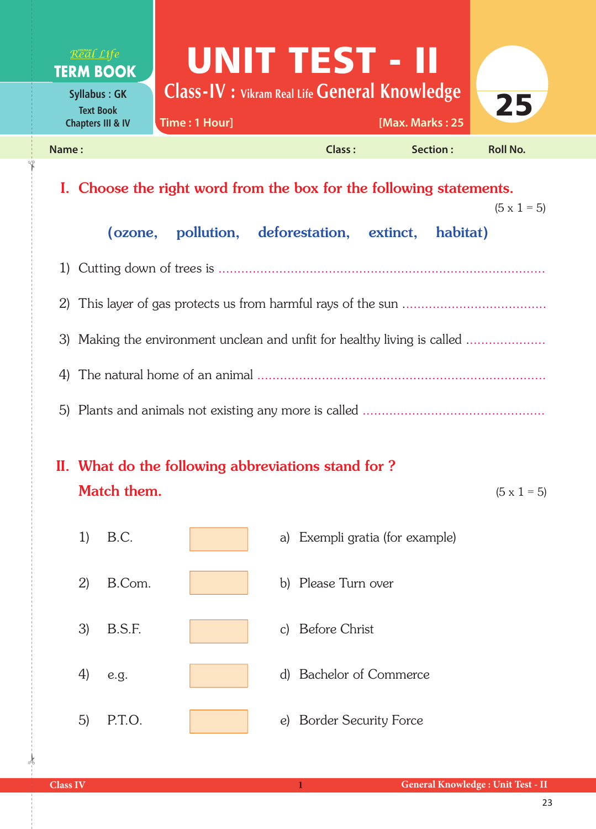

I. Choose the right word from the box for the following statements.

 $(5 \times 1 = 5)$ 

| (ozone, pollution, deforestation, extinct, habitat)                      |
|--------------------------------------------------------------------------|
|                                                                          |
|                                                                          |
| 3) Making the environment unclean and unfit for healthy living is called |
|                                                                          |
|                                                                          |

II. What do the following abbreviations stand for ? **Match them.** (5 x 1 = 5)



 $\frac{1}{2}$